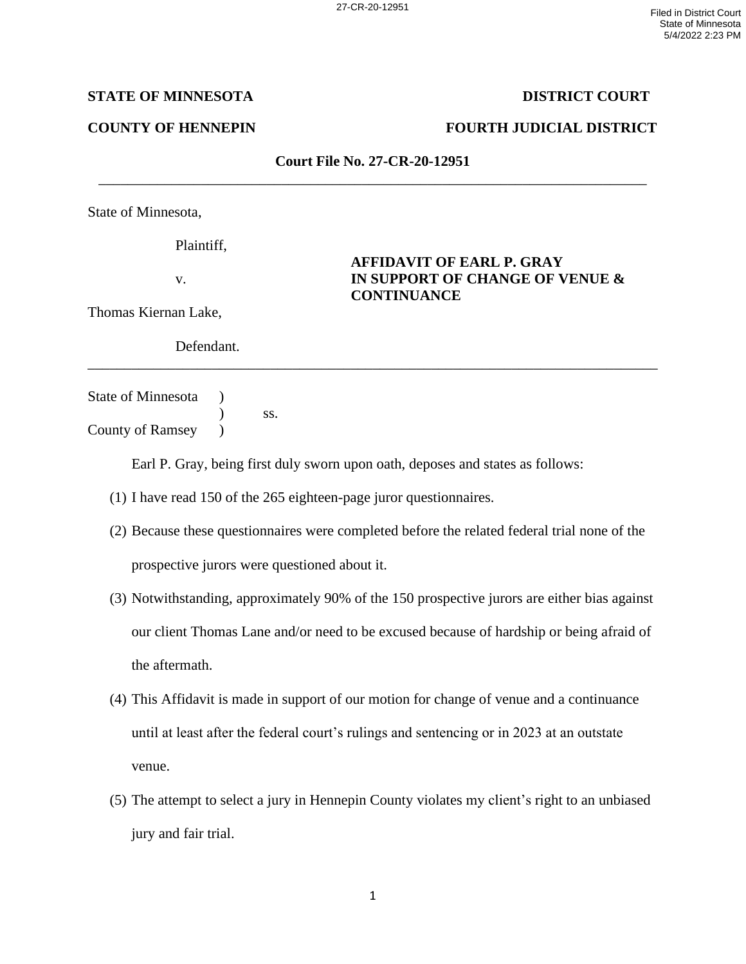### **STATE OF MINNESOTA** DISTRICT COURT

# **COUNTY OF HENNEPIN FOURTH JUDICIAL DISTRICT**

| <b>Court File No. 27-CR-20-12951</b> |  |
|--------------------------------------|--|
|                                      |  |

State of Minnesota,

Plaintiff,

## **AFFIDAVIT OF EARL P. GRAY** v. **IN SUPPORT OF CHANGE OF VENUE & CONTINUANCE**

Thomas Kiernan Lake,

Defendant.

State of Minnesota ) ) ss.

County of Ramsey  $\qquad$ )

Earl P. Gray, being first duly sworn upon oath, deposes and states as follows:

\_\_\_\_\_\_\_\_\_\_\_\_\_\_\_\_\_\_\_\_\_\_\_\_\_\_\_\_\_\_\_\_\_\_\_\_\_\_\_\_\_\_\_\_\_\_\_\_\_\_\_\_\_\_\_\_\_\_\_\_\_\_\_\_\_\_\_\_\_\_\_\_\_\_\_\_\_\_

- (1) I have read 150 of the 265 eighteen-page juror questionnaires.
- (2) Because these questionnaires were completed before the related federal trial none of the prospective jurors were questioned about it.
- (3) Notwithstanding, approximately 90% of the 150 prospective jurors are either bias against our client Thomas Lane and/or need to be excused because of hardship or being afraid of the aftermath.
- (4) This Affidavit is made in support of our motion for change of venue and a continuance until at least after the federal court's rulings and sentencing or in 2023 at an outstate venue.
- (5) The attempt to select a jury in Hennepin County violates my client's right to an unbiased jury and fair trial.